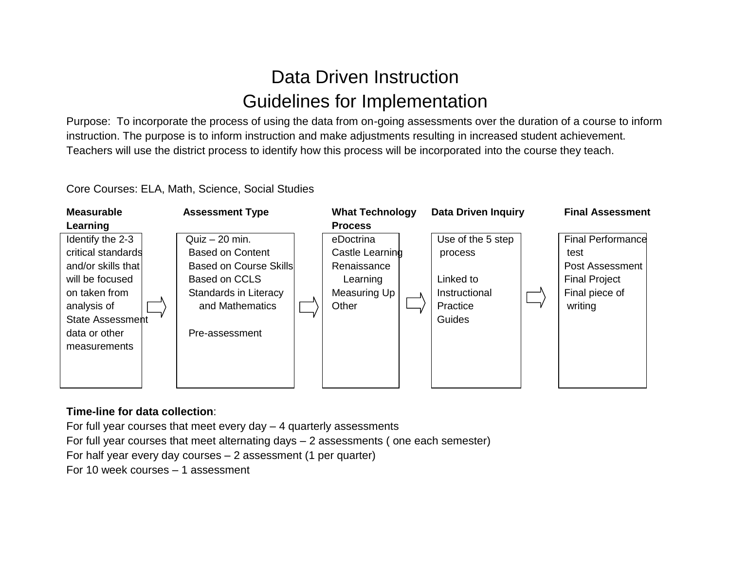## Data Driven Instruction Guidelines for Implementation

Purpose: To incorporate the process of using the data from on-going assessments over the duration of a course to inform instruction. The purpose is to inform instruction and make adjustments resulting in increased student achievement. Teachers will use the district process to identify how this process will be incorporated into the course they teach.

Core Courses: ELA, Math, Science, Social Studies



## **Time-line for data collection**:

For full year courses that meet every day – 4 quarterly assessments For full year courses that meet alternating days – 2 assessments ( one each semester) For half year every day courses – 2 assessment (1 per quarter) For 10 week courses – 1 assessment